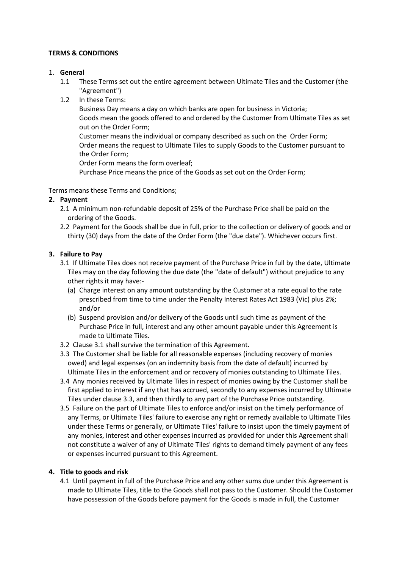### **TERMS & CONDITIONS**

### 1. **General**

- 1.1 These Terms set out the entire agreement between Ultimate Tiles and the Customer (the "Agreement")
- 1.2 In these Terms:

Business Day means a day on which banks are open for business in Victoria; Goods mean the goods offered to and ordered by the Customer from Ultimate Tiles as set out on the Order Form;

Customer means the individual or company described as such on the Order Form; Order means the request to Ultimate Tiles to supply Goods to the Customer pursuant to the Order Form;

Order Form means the form overleaf;

Purchase Price means the price of the Goods as set out on the Order Form;

Terms means these Terms and Conditions;

# **2. Payment**

- 2.1 A minimum non-refundable deposit of 25% of the Purchase Price shall be paid on the ordering of the Goods.
- 2.2 Payment for the Goods shall be due in full, prior to the collection or delivery of goods and or thirty (30) days from the date of the Order Form (the "due date"). Whichever occurs first.

# **3. Failure to Pay**

- 3.1 If Ultimate Tiles does not receive payment of the Purchase Price in full by the date, Ultimate Tiles may on the day following the due date (the "date of default") without prejudice to any other rights it may have:-
	- (a) Charge interest on any amount outstanding by the Customer at a rate equal to the rate prescribed from time to time under the Penalty Interest Rates Act 1983 (Vic) plus 2%; and/or
	- (b) Suspend provision and/or delivery of the Goods until such time as payment of the Purchase Price in full, interest and any other amount payable under this Agreement is made to Ultimate Tiles.
- 3.2 Clause 3.1 shall survive the termination of this Agreement.
- 3.3 The Customer shall be liable for all reasonable expenses (including recovery of monies owed) and legal expenses (on an indemnity basis from the date of default) incurred by Ultimate Tiles in the enforcement and or recovery of monies outstanding to Ultimate Tiles.
- 3.4 Any monies received by Ultimate Tiles in respect of monies owing by the Customer shall be first applied to interest if any that has accrued, secondly to any expenses incurred by Ultimate Tiles under clause 3.3, and then thirdly to any part of the Purchase Price outstanding.
- 3.5 Failure on the part of Ultimate Tiles to enforce and/or insist on the timely performance of any Terms, or Ultimate Tiles' failure to exercise any right or remedy available to Ultimate Tiles under these Terms or generally, or Ultimate Tiles' failure to insist upon the timely payment of any monies, interest and other expenses incurred as provided for under this Agreement shall not constitute a waiver of any of Ultimate Tiles' rights to demand timely payment of any fees or expenses incurred pursuant to this Agreement.

# **4. Title to goods and risk**

4.1 Until payment in full of the Purchase Price and any other sums due under this Agreement is made to Ultimate Tiles, title to the Goods shall not pass to the Customer. Should the Customer have possession of the Goods before payment for the Goods is made in full, the Customer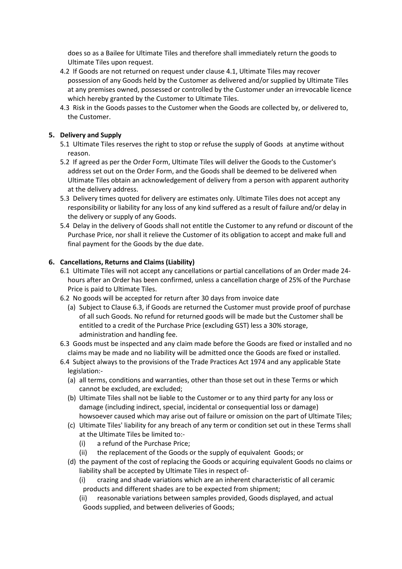does so as a Bailee for Ultimate Tiles and therefore shall immediately return the goods to Ultimate Tiles upon request.

- 4.2 If Goods are not returned on request under clause 4.1, Ultimate Tiles may recover possession of any Goods held by the Customer as delivered and/or supplied by Ultimate Tiles at any premises owned, possessed or controlled by the Customer under an irrevocable licence which hereby granted by the Customer to Ultimate Tiles.
- 4.3 Risk in the Goods passes to the Customer when the Goods are collected by, or delivered to, the Customer.

### **5. Delivery and Supply**

- 5.1 Ultimate Tiles reserves the right to stop or refuse the supply of Goods at anytime without reason.
- 5.2 If agreed as per the Order Form, Ultimate Tiles will deliver the Goods to the Customer's address set out on the Order Form, and the Goods shall be deemed to be delivered when Ultimate Tiles obtain an acknowledgement of delivery from a person with apparent authority at the delivery address.
- 5.3 Delivery times quoted for delivery are estimates only. Ultimate Tiles does not accept any responsibility or liability for any loss of any kind suffered as a result of failure and/or delay in the delivery or supply of any Goods.
- 5.4 Delay in the delivery of Goods shall not entitle the Customer to any refund or discount of the Purchase Price, nor shall it relieve the Customer of its obligation to accept and make full and final payment for the Goods by the due date.

### **6. Cancellations, Returns and Claims (Liability)**

- 6.1 Ultimate Tiles will not accept any cancellations or partial cancellations of an Order made 24 hours after an Order has been confirmed, unless a cancellation charge of 25% of the Purchase Price is paid to Ultimate Tiles.
- 6.2 No goods will be accepted for return after 30 days from invoice date
	- (a) Subject to Clause 6.3, if Goods are returned the Customer must provide proof of purchase of all such Goods. No refund for returned goods will be made but the Customer shall be entitled to a credit of the Purchase Price (excluding GST) less a 30% storage, administration and handling fee.
- 6.3 Goods must be inspected and any claim made before the Goods are fixed or installed and no claims may be made and no liability will be admitted once the Goods are fixed or installed.
- 6.4 Subject always to the provisions of the Trade Practices Act 1974 and any applicable State legislation:-
	- (a) all terms, conditions and warranties, other than those set out in these Terms or which cannot be excluded, are excluded;
	- (b) Ultimate Tiles shall not be liable to the Customer or to any third party for any loss or damage (including indirect, special, incidental or consequential loss or damage) howsoever caused which may arise out of failure or omission on the part of Ultimate Tiles;
	- (c) Ultimate Tiles' liability for any breach of any term or condition set out in these Terms shall at the Ultimate Tiles be limited to:-
		- (i) a refund of the Purchase Price;
		- (ii) the replacement of the Goods or the supply of equivalent Goods; or
	- (d) the payment of the cost of replacing the Goods or acquiring equivalent Goods no claims or liability shall be accepted by Ultimate Tiles in respect of-
		- (i) crazing and shade variations which are an inherent characteristic of all ceramic products and different shades are to be expected from shipment;
		- (ii) reasonable variations between samples provided, Goods displayed, and actual Goods supplied, and between deliveries of Goods;